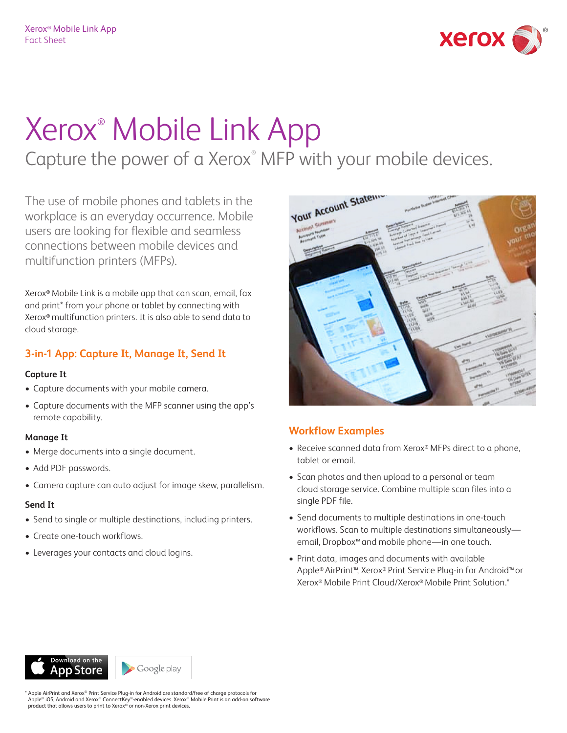

# Xerox® Mobile Link App

Capture the power of a Xerox<sup>®</sup> MFP with your mobile devices.

The use of mobile phones and tablets in the workplace is an everyday occurrence. Mobile users are looking for flexible and seamless connections between mobile devices and multifunction printers (MFPs).

Xerox® Mobile Link is a mobile app that can scan, email, fax and print\* from your phone or tablet by connecting with Xerox® multifunction printers. It is also able to send data to cloud storage.

## **3-in-1 App: Capture It, Manage It, Send It**

#### **Capture It**

- Capture documents with your mobile camera.
- Capture documents with the MFP scanner using the app's remote capability.

#### **Manage It**

- Merge documents into a single document.
- Add PDF passwords.
- Camera capture can auto adjust for image skew, parallelism.

#### **Send It**

- Send to single or multiple destinations, including printers.
- Create one-touch workflows.
- Leverages your contacts and cloud logins.



### **Workflow Examples**

- Receive scanned data from Xerox® MFPs direct to a phone, tablet or email.
- Scan photos and then upload to a personal or team cloud storage service. Combine multiple scan files into a single PDF file.
- Send documents to multiple destinations in one-touch workflows. Scan to multiple destinations simultaneously email, Dropbox™ and mobile phone—in one touch.
- • Print data, images and documents with available Apple® AirPrint™, Xerox® Print Service Plug-in for Android™ or Xerox® Mobile Print Cloud/Xerox® Mobile Print Solution.\*

Google play p Store

Apple AirPrint and Xerox® Print Service Plug-in for Android are standard/free of charge protocols for Apple® iOS, Android and Xerox® ConnectKey®-enabled devices. Xerox® Mobile Print is an add-on software<br>product that allows users to print to Xerox® or non-Xerox print devices.